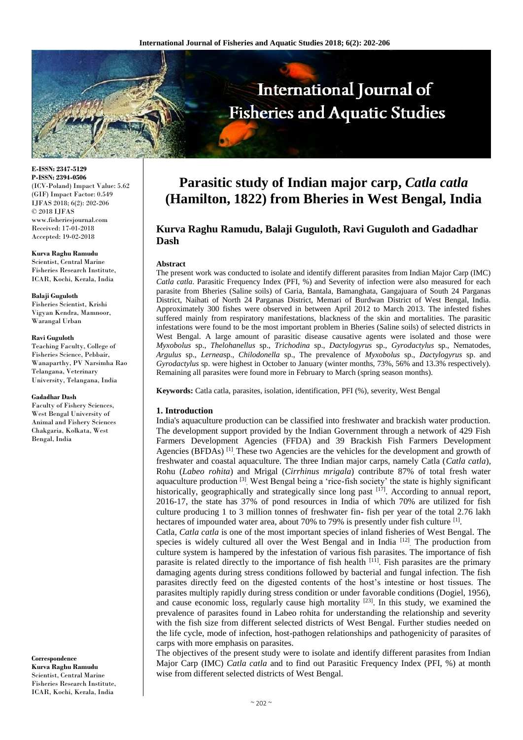

**E-ISSN: 2347-5129 P-ISSN: 2394-0506** (ICV-Poland) Impact Value: 5.62 (GIF) Impact Factor: 0.549 IJFAS 2018; 6(2): 202-206 © 2018 IJFAS www.fisheriesjournal.com Received: 17-01-2018 Accepted: 19-02-2018

#### **Kurva Raghu Ramudu**

Scientist, Central Marine Fisheries Research Institute, ICAR, Kochi, Kerala, India

#### **Balaji Guguloth**

Fisheries Scientist, Krishi Vigyan Kendra, Mamnoor, Warangal Urban

#### **Ravi Guguloth**

Teaching Faculty, College of Fisheries Science, Pebbair, Wanaparthy, PV Narsimha Rao Telangana, Veterinary University, Telangana, India

#### **Gadadhar Dash**

Faculty of Fishery Sciences, West Bengal University of Animal and Fishery Sciences Chakgaria, Kolkata, West Bengal, India

**Correspondence Kurva Raghu Ramudu** Scientist, Central Marine Fisheries Research Institute, ICAR, Kochi, Kerala, India

# **Parasitic study of Indian major carp,** *Catla catla* **(Hamilton, 1822) from Bheries in West Bengal, India**

# **Kurva Raghu Ramudu, Balaji Guguloth, Ravi Guguloth and Gadadhar Dash**

#### **Abstract**

The present work was conducted to isolate and identify different parasites from Indian Major Carp (IMC) *Catla catla*. Parasitic Frequency Index (PFI, %) and Severity of infection were also measured for each parasite from Bheries (Saline soils) of Garia, Bantala, Bamanghata, Gangajuara of South 24 Parganas District, Naihati of North 24 Parganas District, Memari of Burdwan District of West Bengal, India. Approximately 300 fishes were observed in between April 2012 to March 2013. The infested fishes suffered mainly from respiratory manifestations, blackness of the skin and mortalities. The parasitic infestations were found to be the most important problem in Bheries (Saline soils) of selected districts in West Bengal. A large amount of parasitic disease causative agents were isolated and those were *Myxobolus* sp., *Thelohanellus* sp., *Trichodina* sp., *Dactylogyrus* sp., *Gyrodactylus* sp., Nematodes, *Argulus* sp., *Lernea*sp., *Chilodonella* sp., The prevalence of *Myxobolus* sp., *Dactylogyrus* sp. and *Gyrodactylus* sp. were highest in October to January (winter months, 73%, 56% and 13.3% respectively). Remaining all parasites were found more in February to March (spring season months).

**Keywords:** Catla catla, parasites, isolation, identification, PFI (%), severity, West Bengal

#### **1. Introduction**

India's aquaculture production can be classified into freshwater and brackish water production. The development support provided by the Indian Government through a network of 429 Fish Farmers Development Agencies (FFDA) and 39 Brackish Fish Farmers Development Agencies (BFDAs)<sup>[1]</sup> These two Agencies are the vehicles for the development and growth of freshwater and coastal aquaculture. The three Indian major carps, namely Catla (*Catla catla*), Rohu (*Labeo rohita*) and Mrigal (*Cirrhinus mrigala*) contribute 87% of total fresh water aquaculture production <sup>[3]</sup>. West Bengal being a 'rice-fish society' the state is highly significant historically, geographically and strategically since long past  $[17]$ . According to annual report, 2016-17, the state has 37% of pond resources in India of which 70% are utilized for fish culture producing 1 to 3 million tonnes of freshwater fin- fish per year of the total 2.76 lakh hectares of impounded water area, about 70% to 79% is presently under fish culture <sup>[1]</sup>.

Catla, *Catla catla* is one of the most important species of inland fisheries of West Bengal. The species is widely cultured all over the West Bengal and in India<sup>[12]</sup> The production from culture system is hampered by the infestation of various fish parasites. The importance of fish parasite is related directly to the importance of fish health  $[11]$ . Fish parasites are the primary damaging agents during stress conditions followed by bacterial and fungal infection. The fish parasites directly feed on the digested contents of the host's intestine or host tissues. The parasites multiply rapidly during stress condition or under favorable conditions (Dogiel, 1956), and cause economic loss, regularly cause high mortality  $[23]$ . In this study, we examined the prevalence of parasites found in Labeo rohita for understanding the relationship and severity with the fish size from different selected districts of West Bengal. Further studies needed on the life cycle, mode of infection, host-pathogen relationships and pathogenicity of parasites of carps with more emphasis on parasites.

The objectives of the present study were to isolate and identify different parasites from Indian Major Carp (IMC) *Catla catla* and to find out Parasitic Frequency Index (PFI, %) at month wise from different selected districts of West Bengal.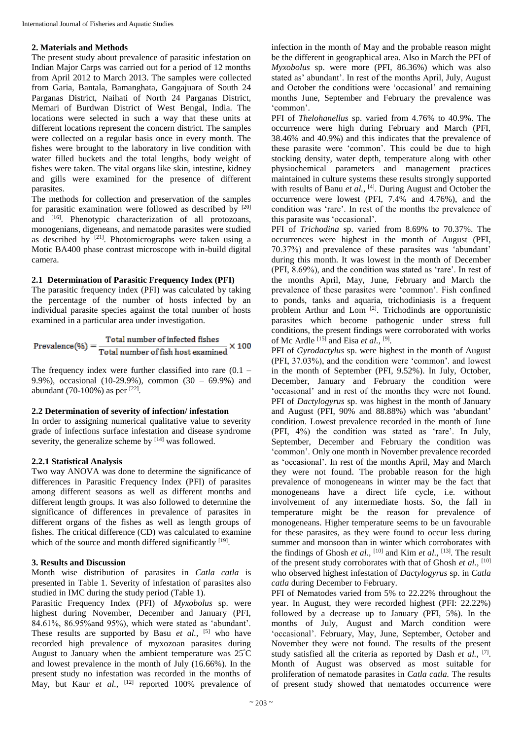## **2. Materials and Methods**

The present study about prevalence of parasitic infestation on Indian Major Carps was carried out for a period of 12 months from April 2012 to March 2013. The samples were collected from Garia, Bantala, Bamanghata, Gangajuara of South 24 Parganas District, Naihati of North 24 Parganas District, Memari of Burdwan District of West Bengal, India. The locations were selected in such a way that these units at different locations represent the concern district. The samples were collected on a regular basis once in every month. The fishes were brought to the laboratory in live condition with water filled buckets and the total lengths, body weight of fishes were taken. The vital organs like skin, intestine, kidney and gills were examined for the presence of different parasites.

The methods for collection and preservation of the samples for parasitic examination were followed as described by  $[20]$ and [16]. Phenotypic characterization of all protozoans, monogenians, digeneans, and nematode parasites were studied as described by [21]. Photomicrographs were taken using a Motic BA400 phase contrast microscope with in-build digital camera.

## **2.1 Determination of Parasitic Frequency Index (PFI)**

The parasitic frequency index (PFI) was calculated by taking the percentage of the number of hosts infected by an individual parasite species against the total number of hosts examined in a particular area under investigation.

$$
Prevalence (\%) = \frac{Total number of infected fishes}{Total number of fish host examined} \times 100
$$

The frequency index were further classified into rare  $(0.1 -$ 9.9%), occasional (10-29.9%), common (30 – 69.9%) and abundant (70-100%) as per  $[22]$ .

# **2.2 Determination of severity of infection/ infestation**

In order to assigning numerical qualitative value to severity grade of infections surface infestation and disease syndrome severity, the generalize scheme by  $[14]$  was followed.

# **2.2.1 Statistical Analysis**

Two way ANOVA was done to determine the significance of differences in Parasitic Frequency Index (PFI) of parasites among different seasons as well as different months and different length groups. It was also followed to determine the significance of differences in prevalence of parasites in different organs of the fishes as well as length groups of fishes. The critical difference (CD) was calculated to examine which of the source and month differed significantly [19].

# **3. Results and Discussion**

Month wise distribution of parasites in *Catla catla* is presented in Table 1. Severity of infestation of parasites also studied in IMC during the study period (Table 1).

Parasitic Frequency Index (PFI) of *Myxobolus* sp. were highest during November, December and January (PFI, 84.61%, 86.95%and 95%), which were stated as 'abundant'. These results are supported by Basu *et al.*, <sup>[5]</sup> who have recorded high prevalence of myxozoan parasites during August to January when the ambient temperature was 25<sup>º</sup>C and lowest prevalence in the month of July (16.66%). In the present study no infestation was recorded in the months of May, but Kaur *et al.*, <sup>[12]</sup> reported 100% prevalence of

infection in the month of May and the probable reason might be the different in geographical area. Also in March the PFI of *Myxobolus* sp. were more (PFI, 86.36%) which was also stated as' abundant'. In rest of the months April, July, August and October the conditions were 'occasional' and remaining months June, September and February the prevalence was 'common'.

PFI of *Thelohanellus* sp. varied from 4.76% to 40.9%. The occurrence were high during February and March (PFI, 38.46% and 40.9%) and this indicates that the prevalence of these parasite were 'common'. This could be due to high stocking density, water depth, temperature along with other physiochemical parameters and management practices maintained in culture systems these results strongly supported with results of Banu *et al.*,  $^{[4]}$ . During August and October the occurrence were lowest (PFI, 7.4% and 4.76%), and the condition was 'rare'. In rest of the months the prevalence of this parasite was 'occasional'.

PFI of *Trichodina* sp. varied from 8.69% to 70.37%. The occurrences were highest in the month of August (PFI, 70.37%) and prevalence of these parasites was 'abundant' during this month. It was lowest in the month of December (PFI, 8.69%), and the condition was stated as 'rare'. In rest of the months April, May, June, February and March the prevalence of these parasites were 'common'. Fish confined to ponds, tanks and aquaria, trichodiniasis is a frequent problem Arthur and Lom<sup>[2]</sup>. Trichodinds are opportunistic parasites which become pathogenic under stress full conditions, the present findings were corroborated with works of Mc Ardle [15] and Eisa *et al.,* [9] .

PFI of *Gyrodactylus* sp. were highest in the month of August (PFI, 37.03%), and the condition were 'common'. and lowest in the month of September (PFI, 9.52%). In July, October, December, January and February the condition were 'occasional' and in rest of the months they were not found. PFI of *Dactylogyrus* sp. was highest in the month of January and August (PFI, 90% and 88.88%) which was 'abundant' condition. Lowest prevalence recorded in the month of June (PFI, 4%) the condition was stated as 'rare'. In July, September, December and February the condition was 'common'. Only one month in November prevalence recorded as 'occasional'. In rest of the months April, May and March they were not found. The probable reason for the high prevalence of monogeneans in winter may be the fact that monogeneans have a direct life cycle, i.e. without involvement of any intermediate hosts. So, the fall in temperature might be the reason for prevalence of monogeneans. Higher temperature seems to be un favourable for these parasites, as they were found to occur less during summer and monsoon than in winter which corroborates with the findings of Ghosh *et al.,* [10] and Kim *et al.,* [13]. The result of the present study corroborates with that of Ghosh *et al.,* [10] who observed highest infestation of *Dactylogyrus* sp. in *Catla catla* during December to February.

PFI of Nematodes varied from 5% to 22.22% throughout the year. In August, they were recorded highest (PFI: 22.22%) followed by a decrease up to January (PFI, 5%). In the months of July, August and March condition were 'occasional'. February, May, June, September, October and November they were not found. The results of the present study satisfied all the criteria as reported by Dash *et al.*, <sup>[7]</sup>. Month of August was observed as most suitable for proliferation of nematode parasites in *Catla catla.* The results of present study showed that nematodes occurrence were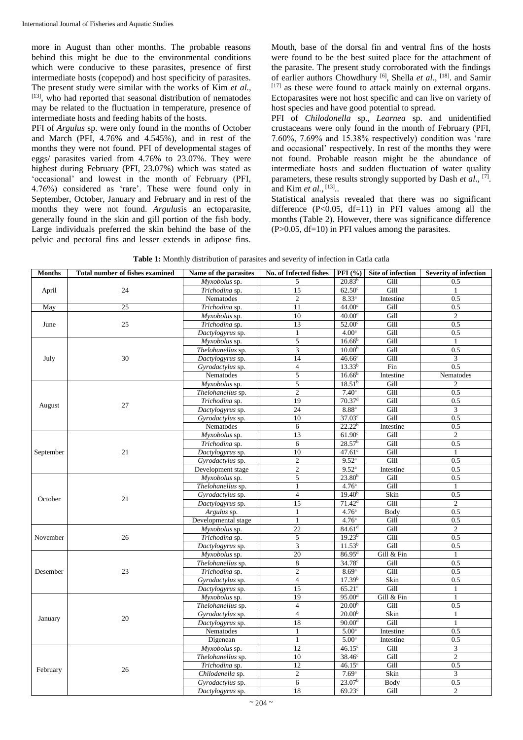more in August than other months. The probable reasons behind this might be due to the environmental conditions which were conducive to these parasites, presence of first intermediate hosts (copepod) and host specificity of parasites. The present study were similar with the works of Kim *et al.,* [13], who had reported that seasonal distribution of nematodes may be related to the fluctuation in temperature, presence of intermediate hosts and feeding habits of the hosts.

PFI of *Argulus* sp. were only found in the months of October and March (PFI, 4.76% and 4.545%), and in rest of the months they were not found. PFI of developmental stages of eggs/ parasites varied from 4.76% to 23.07%. They were highest during February (PFI, 23.07%) which was stated as 'occasional' and lowest in the month of February (PFI, 4.76%) considered as 'rare'. These were found only in September, October, January and February and in rest of the months they were not found. *Argulus*is an ectoparasite, generally found in the skin and gill portion of the fish body. Large individuals preferred the skin behind the base of the pelvic and pectoral fins and lesser extends in adipose fins. Mouth, base of the dorsal fin and ventral fins of the hosts were found to be the best suited place for the attachment of the parasite. The present study corroborated with the findings of earlier authors Chowdhury<sup>[6]</sup>, Shella *et al.*, <sup>[18]</sup>. and Samir [17] as these were found to attack mainly on external organs. Ectoparasites were not host specific and can live on variety of host species and have good potential to spread.

PFI of *Chilodonella* sp., *Learnea* sp. and unidentified crustaceans were only found in the month of February (PFI, 7.60%, 7.69% and 15.38% respectively) condition was 'rare and occasional' respectively. In rest of the months they were not found. Probable reason might be the abundance of intermediate hosts and sudden fluctuation of water quality parameters, these results strongly supported by Dash *et al.*, <sup>[7]</sup>. and Kim *et al.*, <sup>[13]</sup>..

Statistical analysis revealed that there was no significant difference  $(P<0.05$ , df=11) in PFI values among all the months (Table 2). However, there was significance difference  $(P>0.05, df=10)$  in PFI values among the parasites.

**Table 1:** Monthly distribution of parasites and severity of infection in Catla catla

| <b>Months</b> | <b>Total number of fishes examined</b> | Name of the parasites       | No. of Infected fishes | <b>PFI</b> (%)       | Site of infection | <b>Severity of infection</b> |
|---------------|----------------------------------------|-----------------------------|------------------------|----------------------|-------------------|------------------------------|
|               |                                        | Myxobolus sp.               | 5                      | $20.83^{b}$          | Gill              | 0.5                          |
| April         | 24                                     | Trichodina sp.              | 15                     | $62.50$ <sup>c</sup> | Gill              |                              |
|               |                                        | Nematodes                   | $\overline{2}$         | $8.33^{a}$           | Intestine         | 0.5                          |
| May           | 25                                     | Trichodina sp.              | 11                     | 44.00 <sup>c</sup>   | Gill              | 0.5                          |
| June          |                                        | Myxobolus sp.               | 10                     | 40.00 <sup>c</sup>   | Gill              | $\overline{2}$               |
|               | 25                                     | Trichodina sp.              | 13                     | 52.00 <sup>c</sup>   | Gill              | 0.5                          |
|               |                                        | Dactylogyrus sp.            | $\mathbf{1}$           | 4.00 <sup>a</sup>    | Gill              | 0.5                          |
|               | 30                                     | Myxobolus sp.               | 5                      | 16.66 <sup>b</sup>   | Gill              | $\mathbf{1}$                 |
|               |                                        | Thelohanellus sp.           | $\overline{3}$         | 10.00 <sup>b</sup>   | Gill              | 0.5                          |
| July          |                                        | Dactylogyrus sp.            | 14                     | 46.66c               | Gill              | 3                            |
|               |                                        | Gyrodactylus sp.            | $\overline{4}$         | $13.33^{b}$          | Fin               | 0.5                          |
|               |                                        | Nematodes                   | $\mathfrak s$          | 16.66 <sup>b</sup>   | Intestine         | Nematodes                    |
|               |                                        | Myxobolus sp.               | 5                      | 18.51 <sup>b</sup>   | Gill              | $\overline{c}$               |
|               |                                        | Thelohanellus sp.           | $\mathfrak{2}$         | $7.40^{\rm a}$       | Gill              | 0.5                          |
| August        | 27                                     | Trichodina sp.              | 19                     | $70.37$ <sup>d</sup> | Gill              | 0.5                          |
|               |                                        | Dactylogyrus sp.            | 24                     | 8.88 <sup>a</sup>    | Gill              | 3                            |
|               |                                        | Gyrodactylus sp.            | 10                     | $37.03^{\circ}$      | Gill              | 0.5                          |
|               |                                        | Nematodes                   | 6                      | $22.22^{b}$          | Intestine         | 0.5                          |
|               |                                        | $\overline{M}$ yxobolus sp. | 13                     | 61.90 <sup>c</sup>   | Gill              | 2                            |
|               |                                        | Trichodina sp.              | 6                      | 28.57 <sup>b</sup>   | Gill              | 0.5                          |
| September     | 21                                     | Dactylogyrus sp.            | 10                     | $47.61$ <sup>c</sup> | Gill              | $\mathbf{1}$                 |
|               |                                        | Gyrodactylus sp.            | $\overline{2}$         | 9.52 <sup>a</sup>    | Gill              | 0.5                          |
|               |                                        | Development stage           | $\boldsymbol{2}$       | 9.52 <sup>a</sup>    | Intestine         | 0.5                          |
|               |                                        | Myxobolus sp.               | 5                      | 23.80 <sup>b</sup>   | Gill              | 0.5                          |
|               |                                        | Thelohanellus sp.           | $\mathbf{1}$           | 4.76 <sup>a</sup>    | Gill              | 1                            |
| October       | 21                                     | Gyrodactylus sp.            | $\overline{4}$         | $19.40^{b}$          | Skin              | 0.5                          |
|               |                                        | Dactylogyrus sp.            | 15                     | 71.42 <sup>d</sup>   | Gill              | 2                            |
|               |                                        | Argulus sp.                 | $\mathbf{1}$           | 4.76 <sup>a</sup>    | Body              | 0.5                          |
|               |                                        | Developmental stage         | $\mathbf{1}$           | 4.76 <sup>a</sup>    | Gill              | 0.5                          |
|               | 26                                     | Myxobolus sp.               | 22                     | 84.61 <sup>d</sup>   | Gill              | $\overline{2}$               |
| November      |                                        | Trichodina sp.              | 5                      | 19.23 <sup>b</sup>   | Gill              | 0.5                          |
|               |                                        | Dactylogyrus sp.            | 3                      | 11.53 <sup>b</sup>   | Gill              | 0.5                          |
|               | 23                                     | Myxobolus sp.               | 20                     | 86.95 <sup>d</sup>   | Gill & Fin        | 1                            |
|               |                                        | Thelohanellus sp.           | 8                      | 34.78 <sup>c</sup>   | Gill              | 0.5                          |
| Desember      |                                        | Trichodina sp.              | $\mathfrak{2}$         | 8.69 <sup>a</sup>    | Gill              | 0.5                          |
|               |                                        | Gyrodactylus sp.            | $\overline{4}$         | 17.39 <sup>b</sup>   | Skin              | 0.5                          |
|               |                                        | Dactylogyrus sp.            | 15                     | $65.21$ c            | Gill              | 1                            |
|               | 20                                     | Myxobolus sp.               | 19                     | 95.00 <sup>d</sup>   | Gill & Fin        | $\mathbf{1}$                 |
| January       |                                        | Thelohanellus sp.           | $\overline{4}$         | 20.00 <sup>b</sup>   | Gill              | 0.5                          |
|               |                                        | Gyrodactylus sp.            | $\overline{4}$         | 20.00 <sup>b</sup>   | Skin              | $\mathbf{1}$                 |
|               |                                        | Dactylogyrus sp.            | 18                     | 90.00 <sup>d</sup>   | Gill              | 1                            |
|               |                                        | Nematodes                   | $\mathbf{1}$           | 5.00 <sup>a</sup>    | Intestine         | 0.5                          |
|               |                                        | Digenean                    | $\mathbf{1}$           | 5.00 <sup>a</sup>    | Intestine         | 0.5                          |
| February      | 26                                     | Myxobolus sp.               | 12                     | $46.15^{\circ}$      | Gill              | $\ensuremath{\mathfrak{Z}}$  |
|               |                                        | Thelohanellus sp.           | 10                     | $38.46^\circ$        | Gill              | $\overline{2}$               |
|               |                                        | Trichodina sp.              | 12                     | $46.15^{\circ}$      | Gill              | 0.5                          |
|               |                                        | Chilodenella sp.            | $\overline{2}$         | 7.69 <sup>a</sup>    | Skin              | $\overline{3}$               |
|               |                                        | Gyrodactylus sp.            | 6                      | 23.07 <sup>b</sup>   | Body              | 0.5                          |
|               |                                        | Dactylogyrus sp.            | 18                     | $69.23^{\circ}$      | Gill              | $\overline{2}$               |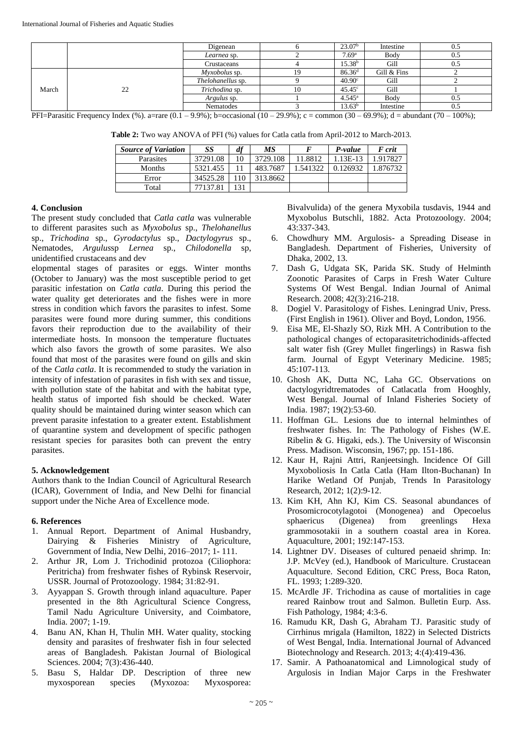|       |    | Digenean                 | 23.07 <sup>b</sup> | Intestine   | 0.5 |
|-------|----|--------------------------|--------------------|-------------|-----|
|       |    | Learnea sp.              | 7.69 <sup>a</sup>  | Body        | U.5 |
|       |    | Crustaceans              | 15.38 <sup>b</sup> | Gill        | U.J |
| March | 22 | <i>Myxobolus</i> sp.     | 86.36 <sup>d</sup> | Gill & Fins |     |
|       |    | <i>Thelohanellus</i> sp. | 40.90 <sup>c</sup> | Gill        |     |
|       |    | Trichodina sp.           | $45.45^{\circ}$    | Gill        |     |
|       |    | <i>Argulus</i> sp.       | $4.545^{\circ}$    | Body        | U.J |
|       |    | <b>Nematodes</b>         | $13.63^{\rm b}$    | Intestine   | 0.5 |

PFI=Parasitic Frequency Index (%). a=rare  $(0.1 - 9.9\%)$ ; b=occasional  $(10 - 29.9\%)$ ; c = common  $(30 - 69.9\%)$ ; d = abundant  $(70 - 100\%)$ ;

**Table 2:** Two way ANOVA of PFI (%) values for Catla catla from April-2012 to March-2013.

| <b>Source of Variation</b> | SS       | df | <b>MS</b> |          | P-value   | F crit   |
|----------------------------|----------|----|-----------|----------|-----------|----------|
| Parasites                  | 37291.08 | 10 | 3729.108  | 11.8812  | $.13E-13$ | 1.917827 |
| Months                     | 5321.455 |    | 483.7687  | 1.541322 | 0.126932  | .876732  |
| Error                      | 34525.28 | 10 | 313.8662  |          |           |          |
| Total                      | 77137.81 | 31 |           |          |           |          |

### **4. Conclusion**

The present study concluded that *Catla catla* was vulnerable to different parasites such as *Myxobolus* sp., *Thelohanellus* sp., *Trichodina* sp., *Gyrodactylus* sp., *Dactylogyrus* sp., Nematodes, *Argulus*sp *Lernea* sp., *Chilodonella* sp, unidentified crustaceans and dev

elopmental stages of parasites or eggs. Winter months (October to January) was the most susceptible period to get parasitic infestation on *Catla catla*. During this period the water quality get deteriorates and the fishes were in more stress in condition which favors the parasites to infest. Some parasites were found more during summer, this conditions favors their reproduction due to the availability of their intermediate hosts. In monsoon the temperature fluctuates which also favors the growth of some parasites. We also found that most of the parasites were found on gills and skin of the *Catla catla*. It is recommended to study the variation in intensity of infestation of parasites in fish with sex and tissue, with pollution state of the habitat and with the habitat type, health status of imported fish should be checked. Water quality should be maintained during winter season which can prevent parasite infestation to a greater extent. Establishment of quarantine system and development of specific pathogen resistant species for parasites both can prevent the entry parasites.

## **5. Acknowledgement**

Authors thank to the Indian Council of Agricultural Research (ICAR), Government of India, and New Delhi for financial support under the Niche Area of Excellence mode.

## **6. References**

- 1. Annual Report. Department of Animal Husbandry, Dairying & Fisheries Ministry of Agriculture, Government of India, New Delhi, 2016–2017; 1- 111.
- 2. Arthur JR, Lom J. Trichodinid protozoa (Ciliophora: Peritricha) from freshwater fishes of Rybinsk Reservoir, USSR. Journal of Protozoology. 1984; 31:82-91.
- 3. Ayyappan S. Growth through inland aquaculture. Paper presented in the 8th Agricultural Science Congress, Tamil Nadu Agriculture University, and Coimbatore, India. 2007; 1-19.
- 4. Banu AN, Khan H, Thulin MH. Water quality, stocking density and parasites of freshwater fish in four selected areas of Bangladesh. Pakistan Journal of Biological Sciences. 2004; 7(3):436-440.
- 5. Basu S, Haldar DP. Description of three new myxosporean species (Myxozoa: Myxosporea:

Bivalvulida) of the genera Myxobila tusdavis, 1944 and Myxobolus Butschli, 1882. Acta Protozoology. 2004; 43:337-343.

- 6. Chowdhury MM. Argulosis- a Spreading Disease in Bangladesh. Department of Fisheries, University of Dhaka, 2002, 13.
- 7. Dash G, Udgata SK, Parida SK. Study of Helminth Zoonotic Parasites of Carps in Fresh Water Culture Systems Of West Bengal. Indian Journal of Animal Research. 2008; 42(3):216-218.
- 8. Dogiel V. Parasitology of Fishes. Leningrad Univ, Press. (First English in 1961). Oliver and Boyd, London, 1956.
- 9. Eisa ME, El-Shazly SO, Rizk MH. A Contribution to the pathological changes of ectoparasitetrichodinids-affected salt water fish (Grey Mullet fingerlings) in Raswa fish farm. Journal of Egypt Veterinary Medicine. 1985; 45:107-113.
- 10. Ghosh AK, Dutta NC, Laha GC. Observations on dactylogyridtrematodes of Catlacatla from Hooghly, West Bengal. Journal of Inland Fisheries Society of India. 1987; 19(2):53-60.
- 11. Hoffman GL. Lesions due to internal helminthes of freshwater fishes. In: The Pathology of Fishes (W.E. Ribelin & G. Higaki, eds.). The University of Wisconsin Press. Madison. Wisconsin, 1967; pp. 151-186.
- 12. Kaur H, Rajni Attri, Ranjeetsingh. Incidence Of Gill Myxoboliosis In Catla Catla (Ham Ilton-Buchanan) In Harike Wetland Of Punjab, Trends In Parasitology Research, 2012; 1(2):9-12.
- 13. Kim KH, Ahn KJ, Kim CS. Seasonal abundances of Prosomicrocotylagotoi (Monogenea) and Opecoelus sphaericus (Digenea) from greenlings Hexa grammosotakii in a southern coastal area in Korea. Aquaculture, 2001; 192:147-153.
- 14. Lightner DV. Diseases of cultured penaeid shrimp. In: J.P. McVey (ed.), Handbook of Mariculture. Crustacean Aquaculture. Second Edition, CRC Press, Boca Raton, FL. 1993; 1:289-320.
- 15. McArdle JF. Trichodina as cause of mortalities in cage reared Rainbow trout and Salmon. Bulletin Eurp. Ass. Fish Pathology, 1984; 4:3-6.
- 16. Ramudu KR, Dash G, Abraham TJ. Parasitic study of Cirrhinus mrigala (Hamilton, 1822) in Selected Districts of West Bengal, India. International Journal of Advanced Biotechnology and Research. 2013; 4:(4):419-436.
- 17. Samir. A Pathoanatomical and Limnological study of Argulosis in Indian Major Carps in the Freshwater